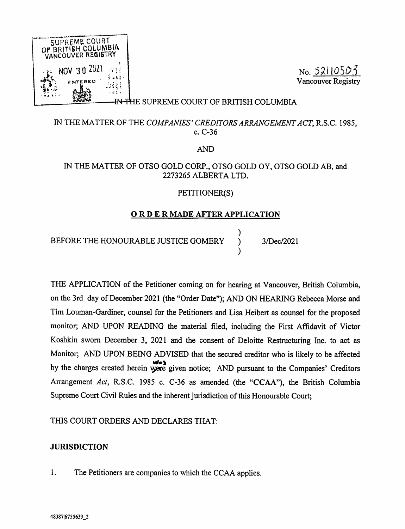

No. 52110503 Vancouver Registry

## FHE SUPREME COURT OF BRITISH COLUMBIA

# IN THE MATTER OF THE COMPANIES' CREDITORS ARRANGEMENT ACT, R.S.C. 1985, c. C-36

AND

# IN THE MATTER OF OTSO GOLD CORP., OTSO GOLD OY, OTSO GOLD AB, and 2273265 ALBERTA LTD.

## PETITIONER(S)

## ORDER MADE AFTER APPLICATION

 $\lambda$ 

 $\lambda$ 

BEFORE THE HONOURABLE JUSTICE GOMERY ) 3/Dec/2021

THE APPLICATION of the Petitioner coming on for hearing at Vancouver, British Columbia, on the 3rd day of December 2021 (the "Order Date"); AND ON HEARING Rebecca Morse and Tim Louman-Gardiner, counsel for the Petitioners and Lisa Heibert as counsel for the proposed monitor; AND UPON READING the material filed, including the First Affidavit of Victor Koshkin sworn December 3, 2021 and the consent of Deloitte Restructuring Inc. to act as Monitor; AND UPON BEING ADVISED that the secured creditor who is likely to be affected by the charges created herein were given notice; AND pursuant to the Companies' Creditors Arrangement Act, R.S.C. 1985 c. C-36 as amended (the "CCAA"), the British Columbia Supreme Court Civil Rules and the inherent jurisdiction of this Honourable Court;

THIS COURT ORDERS AND DECLARES THAT:

## **JURISDICTION**

1. The Petitioners are companies to which the CCAA applies.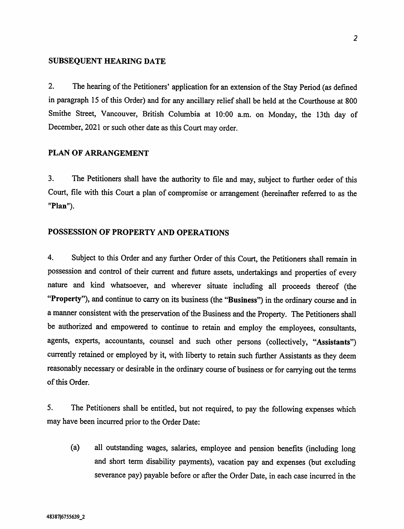#### SUBSEQUENT HEARING DATE

<sup>2</sup>. The hearing of the Petitioners' application for an extension of the Stay Period (as defined in paragraph 15 of this Order) and for any ancillary relief shall be held at the Courthouse at 800 <sup>S</sup>mithe Street, Vancouver, British Columbia at 10:00 a.m. on Monday, the 13th day of <sup>D</sup>ecember, 2021 or such other date as this Court may order.

## PLAN OF ARRANGEMENT

<sup>3</sup>. The Petitioners shall have the authority to file and may, subject to further order of this <sup>C</sup>ourt, file with this Court a plan of compromise or arrangement (hereinafter referred to as the "Plan").

#### POSSESSION OF PROPERTY AND OPERATIONS

<sup>4</sup>. Subject to this Order and any further Order of this Court, the Petitioners shall remain in <sup>p</sup>ossession and control of their current and future assets, undertakings and properties of every <sup>n</sup>ature and kind whatsoever, and wherever situate including all proceeds thereof (the "Property"), and continue to carry on its business (the "Business") in the ordinary course and in <sup>a</sup> manner consistent with the preservation of the Business and the Property. The Petitioners shall <sup>b</sup>e authorized and empowered to continue to retain and employ the employees, consultants, <sup>a</sup>gents, experts, accountants, counsel and such other persons (collectively, "Assistants") <sup>c</sup>urrently retained or employed by it, with liberty to retain such further Assistants as they deem <sup>r</sup>easonably necessary or desirable in the ordinary course of business or for carrying out the terms <sup>o</sup>f this Order.

<sup>5</sup>. The Petitioners shall be entitled, but not required, to pay the following expenses which <sup>m</sup>ay have been incurred prior to the Order Date:

(a) all outstanding wages, salaries, employee and pension benefits (including long <sup>a</sup>nd short term disability payments), vacation pay and expenses (but excluding <sup>s</sup>everance pay) payable before or after the Order Date, in each case incurred in the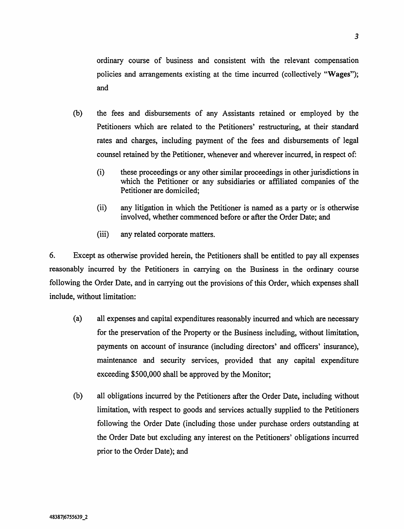ordinary course of business and consistent with the relevant compensation policies and arrangements existing at the time incurred (collectively "Wages"); and

- (b) the fees and disbursements of any Assistants retained or employed by the Petitioners which are related to the Petitioners' restructuring, at their standard rates and charges, including payment of the fees and disbursements of legal counsel retained by the Petitioner, whenever and wherever incurred, in respect of:
	- (i) these proceedings or any other similar proceedings in other jurisdictions in which the Petitioner or any subsidiaries or affiliated companies of the Petitioner are domiciled;
	- (ii) any litigation in which the Petitioner is named as a party or is otherwise involved, whether commenced before or after the Order Date; and
	- (iii) any related corporate matters.

6. Except as otherwise provided herein, the Petitioners shall be entitled to pay all expenses reasonably incurred by the Petitioners in carrying on the Business in the ordinary course following the Order Date, and in carrying out the provisions of this Order, which expenses shall include, without limitation:

- (a) all expenses and capital expenditures reasonably incurred and which are necessary for the preservation of the Property or the Business including, without limitation, payments on account of insurance (including directors' and officers' insurance), maintenance and security services, provided that any capital expenditure exceeding \$500,000 shall be approved by the Monitor;
- (b) all obligations incurred by the Petitioners after the Order Date, including without limitation, with respect to goods and services actually supplied to the Petitioners following the Order Date (including those under purchase orders outstanding at the Order Date but excluding any interest on the Petitioners' obligations incurred prior to the Order Date); and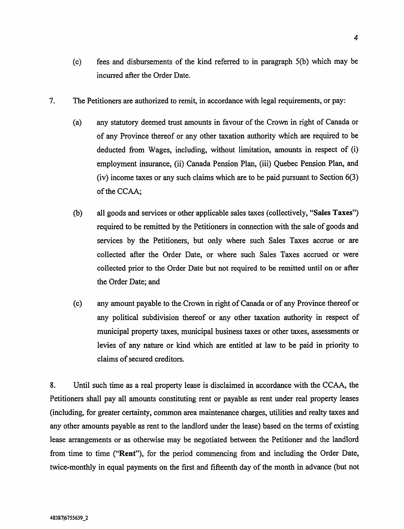- 7. The Petitioners are authorized to remit, in accordance with legal requirements, or pay:
	- (a) any statutory deemed trust amounts in favour of the Crown in right of Canada or of any Province thereof or any other taxation authority which are required to be deducted from Wages, including, without limitation, amounts in respect of (i) employment insurance, (ii) Canada Pension Plan, (iii) Quebec Pension Plan, and (iv) income taxes or any such claims which are to be paid pursuant to Section 6(3) of the CCAA;
	- (b) all goods and services or other applicable sales taxes (collectively, "Sales Taxes") required to be remitted by the Petitioners in connection with the sale of goods and services by the Petitioners, but only where such Sales Taxes accrue or are collected after the Order Date, or where such Sales Taxes accrued or were collected prior to the Order Date but not required to be remitted until on or after the Order Date; and
	- (c) any amount payable to the Crown in right of Canada or of any Province thereof or any political subdivision thereof or any other taxation authority in respect of municipal property taxes, municipal business taxes or other taxes, assessments or levies of any nature or kind which are entitled at law to be paid in priority to claims of secured creditors.

8. Until such time as a real property lease is disclaimed in accordance with the CCAA, the Petitioners shall pay all amounts constituting rent or payable as rent under real property leases (including, for greater certainty, common area maintenance charges, utilities and realty taxes and any other amounts payable as rent to the landlord under the lease) based on the terms of existing lease arrangements or as otherwise may be negotiated between the Petitioner and the landlord from time to time ("Rent"), for the period commencing from and including the Order Date, twice-monthly in equal payments on the first and fifteenth day of the month in advance (but not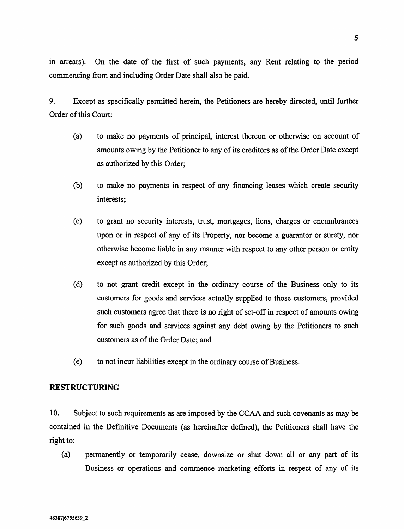in arrears). On the date of the first of such payments, any Rent relating to the period commencing from and including Order Date shall also be paid.

9. Except as specifically permitted herein, the Petitioners are hereby directed, until further Order of this Court:

- (a) to make no payments of principal, interest thereon or otherwise on account of amounts owing by the Petitioner to any of its creditors as of the Order Date except as authorized by this Order;
- (b) to make no payments in respect of any financing leases which create security interests;
- (c) to grant no security interests, trust, mortgages, liens, charges or encumbrances upon or in respect of any of its Property, nor become a guarantor or surety, nor otherwise become liable in any manner with respect to any other person or entity except as authorized by this Order;
- (d) to not grant credit except in the ordinary course of the Business only to its customers for goods and services actually supplied to those customers, provided such customers agree that there is no right of set-off in respect of amounts owing for such goods and services against any debt owing by the Petitioners to such customers as of the Order Date; and
- (e) to not incur liabilities except in the ordinary course of Business.

## RESTRUCTURING

10. Subject to such requirements as are imposed by the CCAA and such covenants as may be contained in the Definitive Documents (as hereinafter defined), the Petitioners shall have the right to:

(a) permanently or temporarily cease, downsize or shut down all or any part of its Business or operations and commence marketing efforts in respect of any of its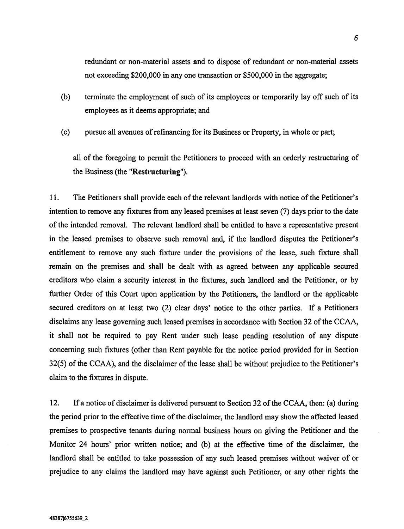redundant or non-material assets and to dispose of redundant or non-material assets not exceeding \$200,000 in any one transaction or \$500,000 in the aggregate;

- (b) terminate the employment of such of its employees or temporarily lay off such of its employees as it deems appropriate; and
- (c) pursue all avenues of refinancing for its Business or Property, in whole or part;

all of the foregoing to permit the Petitioners to proceed with an orderly restructuring of the Business (the "Restructuring").

<sup>1</sup> 1. The Petitioners shall provide each of the relevant landlords with notice of the Petitioner's intention to remove any fixtures from any leased premises at least seven (7) days prior to the date of the intended removal. The relevant landlord shall be entitled to have a representative present in the leased premises to observe such removal and, if the landlord disputes the Petitioner's entitlement to remove any such fixture under the provisions of the lease, such fixture shall remain on the premises and shall be dealt with as agreed between any applicable secured creditors who claim a security interest in the fixtures, such landlord and the Petitioner, or by further Order of this Court upon application by the Petitioners, the landlord or the applicable secured creditors on at least two (2) clear days' notice to the other parties. If a Petitioners disclaims any lease governing such leased premises in accordance with Section 32 of the CCAA, it shall not be required to pay Rent under such lease pending resolution of any dispute concerning such fixtures (other than Rent payable for the notice period provided for in Section 32(5) of the CCAA), and the disclaimer of the lease shall be without prejudice to the Petitioner's claim to the fixtures in dispute.

12. If a notice of disclaimer is delivered pursuant to Section 32 of the CCAA, then: (a) during the period prior to the effective time of the disclaimer, the landlord may show the affected leased premises to prospective tenants during normal business hours on giving the Petitioner and the Monitor 24 hours' prior written notice; and (b) at the effective time of the disclaimer, the landlord shall be entitled to take possession of any such leased premises without waiver of or prejudice to any claims the landlord may have against such Petitioner, or any other rights the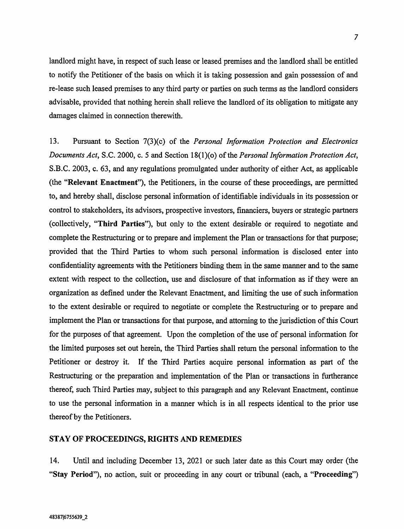landlord might have, in respect of such lease or leased premises and the landlord shall be entitled to notify the Petitioner of the basis on which it is taking possession and gain possession of and re-lease such leased premises to any third party or parties on such terms as the landlord considers advisable, provided that nothing herein shall relieve the landlord of its obligation to mitigate any damages claimed in connection therewith.

13. Pursuant to Section 7(3)(c) of the Personal Information Protection and Electronics Documents Act, S.C. 2000, c. 5 and Section 18(1)(o) of the Personal Information Protection Act, S.B.C. 2003, c. 63, and any regulations promulgated under authority of either Act, as applicable (the "Relevant Enactment"), the Petitioners, in the course of these proceedings, are permitted to, and hereby shall, disclose personal information of identifiable individuals in its possession or control to stakeholders, its advisors, prospective investors, financiers, buyers or strategic partners (collectively, "Third Parties"), but only to the extent desirable or required to negotiate and complete the Restructuring or to prepare and implement the Plan or transactions for that purpose; provided that the Third Parties to whom such personal information is disclosed enter into confidentiality agreements with the Petitioners binding them in the same manner and to the same extent with respect to the collection, use and disclosure of that information as if they were an organization as defined under the Relevant Enactment, and limiting the use of such information to the extent desirable or required to negotiate or complete the Restructuring or to prepare and implement the Plan or transactions for that purpose, and attorning to the jurisdiction of this Court for the purposes of that agreement. Upon the completion of the use of personal information for the limited purposes set out herein, the Third Parties shall return the personal information to the Petitioner or destroy it. If the Third Parties acquire personal information as part of the Restructuring or the preparation and implementation of the Plan or transactions in furtherance thereof, such Third Parties may, subject to this paragraph and any Relevant Enactment, continue to use the personal information in a manner which is in all respects identical to the prior use thereof by the Petitioners.

#### STAY OF PROCEEDINGS, RIGHTS AND REMEDIES

14. Until and including December 13, 2021 or such later date as this Court may order (the "Stay Period"), no action, suit or proceeding in any court or tribunal (each, a "Proceeding")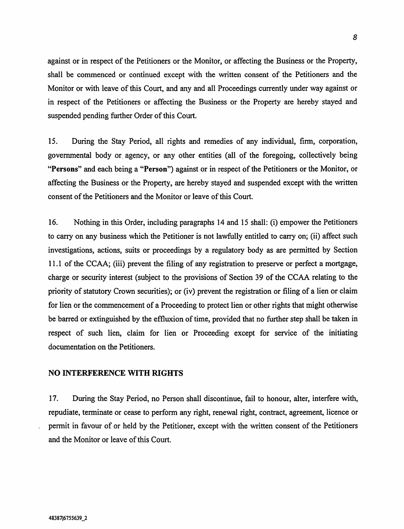against or in respect of the Petitioners or the Monitor, or affecting the Business or the Property, shall be commenced or continued except with the written consent of the Petitioners and the Monitor or with leave of this Court, and any and all Proceedings currently under way against or in respect of the Petitioners or affecting the Business or the Property are hereby stayed and suspended pending further Order of this Court.

15. During the Stay Period, all rights and remedies of any individual, firm, corporation, governmental body or agency, or any other entities (all of the foregoing, collectively being "Persons" and each being a "Person") against or in respect of the Petitioners or the Monitor, or affecting the Business or the Property, are hereby stayed and suspended except with the written consent of the Petitioners and the Monitor or leave of this Court.

16. Nothing in this Order, including paragraphs 14 and 15 shall: (i) empower the Petitioners to carry on any business which the Petitioner is not lawfully entitled to carry on; (ii) affect such investigations, actions, suits or proceedings by a regulatory body as are permitted by Section <sup>1</sup> 1.1 of the CCAA; (iii) prevent the filing of any registration to preserve or perfect a mortgage, charge or security interest (subject to the provisions of Section 39 of the CCAA relating to the priority of statutory Crown securities); or (iv) prevent the registration or filing of a lien or claim for lien or the commencement of a Proceeding to protect lien or other rights that might otherwise be barred or extinguished by the effluxion of time, provided that no further step shall be taken in respect of such lien, claim for lien or Proceeding except for service of the initiating documentation on the Petitioners.

## NO INTERFERENCE WITH RIGHTS

17. During the Stay Period, no Person shall discontinue, fail to honour, alter, interfere with, repudiate, terminate or cease to perform any right, renewal right, contract, agreement, licence or permit in favour of or held by the Petitioner, except with the written consent of the Petitioners and the Monitor or leave of this Court.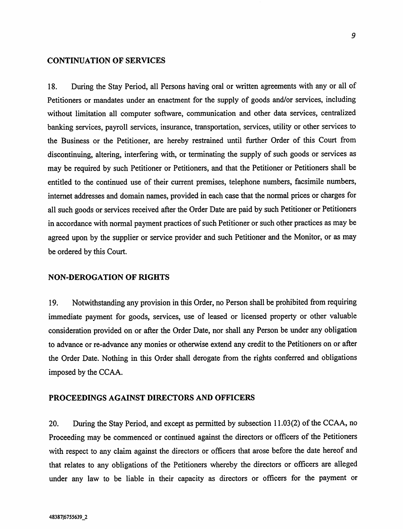#### CONTINUATION OF SERVICES

18. During the Stay Period, all Persons having oral or written agreements with any or all of Petitioners or mandates under an enactment for the supply of goods and/or services, including without limitation all computer software, communication and other data services, centralized banking services, payroll services, insurance, transportation, services, utility or other services to the Business or the Petitioner, are hereby restrained until further Order of this Court from discontinuing, altering, interfering with, or terminating the supply of such goods or services as may be required by such Petitioner or Petitioners, and that the Petitioner or Petitioners shall be entitled to the continued use of their current premises, telephone numbers, facsimile numbers, internet addresses and domain names, provided in each case that the normal prices or charges for all such goods or services received after the Order Date are paid by such Petitioner or Petitioners in accordance with normal payment practices of such Petitioner or such other practices as may be agreed upon by the supplier or service provider and such Petitioner and the Monitor, or as may be ordered by this Court.

#### NON-DEROGATION OF RIGHTS

19. Notwithstanding any provision in this Order, no Person shall be prohibited from requiring immediate payment for goods, services, use of leased or licensed property or other valuable consideration provided on or after the Order Date, nor shall any Person be under any obligation to advance or re-advance any monies or otherwise extend any credit to the Petitioners on or after the Order Date. Nothing in this Order shall derogate from the rights conferred and obligations imposed by the CCAA.

#### PROCEEDINGS AGAINST DIRECTORS AND OFFICERS

20. During the Stay Period, and except as permitted by subsection 11.03(2) of the CCAA, no Proceeding may be commenced or continued against the directors or officers of the Petitioners with respect to any claim against the directors or officers that arose before the date hereof and that relates to any obligations of the Petitioners whereby the directors or officers are alleged under any law to be liable in their capacity as directors or officers for the payment or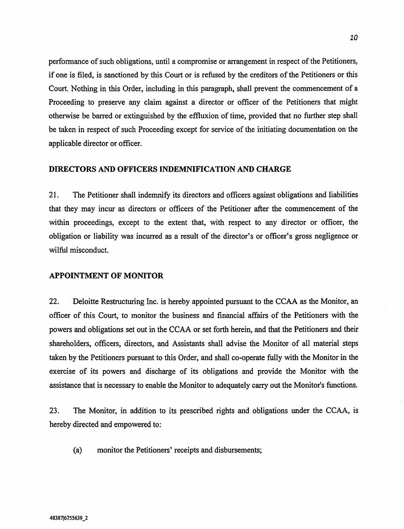performance of such obligations, until a compromise or arrangement in respect of the Petitioners, if one is filed, is sanctioned by this Court or is refused by the creditors of the Petitioners or this Court. Nothing in this Order, including in this paragraph, shall prevent the commencement of a Proceeding to preserve any claim against a director or officer of the Petitioners that might otherwise be barred or extinguished by the effluxion of time, provided that no further step shall be taken in respect of such Proceeding except for service of the initiating documentation on the applicable director or officer.

#### DIRECTORS AND OFFICERS INDEMNIFICATION AND CHARGE

21. The Petitioner shall indemnify its directors and officers against obligations and liabilities that they may incur as directors or officers of the Petitioner after the commencement of the within proceedings, except to the extent that, with respect to any director or officer, the obligation or liability was incurred as a result of the director's or officer's gross negligence or wilful misconduct.

#### APPOINTMENT OF MONITOR

22. Deloitte Restructuring Inc. is hereby appointed pursuant to the CCAA as the Monitor, an officer of this Court, to monitor the business and financial affairs of the Petitioners with the powers and obligations set out in the CCAA or set forth herein, and that the Petitioners and their shareholders, officers, directors, and Assistants shall advise the Monitor of all material steps taken by the Petitioners pursuant to this Order, and shall co-operate fully with the Monitor in the exercise of its powers and discharge of its obligations and provide the Monitor with the assistance that is necessary to enable the Monitor to adequately carry out the Monitor's functions.

23. The Monitor, in addition to its prescribed rights and obligations under the CCAA, is hereby directed and empowered to:

(a) monitor the Petitioners' receipts and disbursements;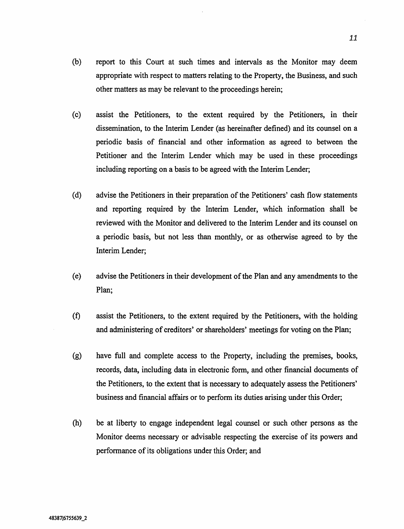- (b) report to this Court at such times and intervals as the Monitor may deem appropriate with respect to matters relating to the Property, the Business, and such other matters as may be relevant to the proceedings herein;
- (c) assist the Petitioners, to the extent required by the Petitioners, in their dissemination, to the Interim Lender (as hereinafter defined) and its counsel on a periodic basis of financial and other information as agreed to between the Petitioner and the Interim Lender which may be used in these proceedings including reporting on a basis to be agreed with the Interim Lender;
- (d) advise the Petitioners in their preparation of the Petitioners' cash flow statements and reporting required by the Interim Lender, which information shall be reviewed with the Monitor and delivered to the Interim Lender and its counsel on a periodic basis, but not less than monthly, or as otherwise agreed to by the Interim Lender;
- (e) advise the Petitioners in their development of the Plan and any amendments to the Plan;
- (f) assist the Petitioners, to the extent required by the Petitioners, with the holding and administering of creditors' or shareholders' meetings for voting on the Plan;
- (g) have full and complete access to the Property, including the premises, books, records, data, including data in electronic form, and other financial documents of the Petitioners, to the extent that is necessary to adequately assess the Petitioners' business and financial affairs or to perform its duties arising under this Order;
- (h) be at liberty to engage independent legal counsel or such other persons as the Monitor deems necessary or advisable respecting the exercise of its powers and performance of its obligations under this Order; and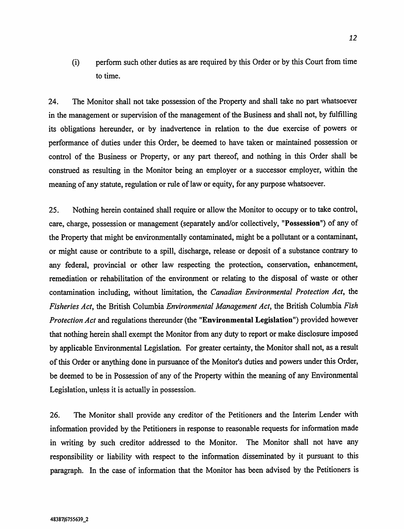(i) perform such other duties as are required by this Order or by this Court from time to time.

24. The Monitor shall not take possession of the Property and shall take no part whatsoever in the management or supervision of the management of the Business and shall not, by fulfilling its obligations hereunder, or by inadvertence in relation to the due exercise of powers or performance of duties under this Order, be deemed to have taken or maintained possession or control of the Business or Property, or any part thereof, and nothing in this Order shall be construed as resulting in the Monitor being an employer or a successor employer, within the meaning of any statute, regulation or rule of law or equity, for any purpose whatsoever.

25. Nothing herein contained shall require or allow the Monitor to occupy or to take control, care, charge, possession or management (separately and/or collectively, "Possession") of any of the Property that might be environmentally contaminated, might be a pollutant or a contaminant, or might cause or contribute to a spill, discharge, release or deposit of a substance contrary to any federal, provincial or other law respecting the protection, conservation, enhancement, remediation or rehabilitation of the environment or relating to the disposal of waste or other contamination including, without limitation, the Canadian Environmental Protection Act, the Fisheries Act, the British Columbia Environmental Management Act, the British Columbia Fish Protection Act and regulations thereunder (the "Environmental Legislation") provided however that nothing herein shall exempt the Monitor from any duty to report or make disclosure imposed by applicable Environmental Legislation. For greater certainty, the Monitor shall not, as a result of this Order or anything done in pursuance of the Monitor's duties and powers under this Order, be deemed to be in Possession of any of the Property within the meaning of any Environmental Legislation, unless it is actually in possession.

26. The Monitor shall provide any creditor of the Petitioners and the Interim Lender with information provided by the Petitioners in response to reasonable requests for information made in writing by such creditor addressed to the Monitor. The Monitor shall not have any responsibility or liability with respect to the information disseminated by it pursuant to this paragraph. In the case of information that the Monitor has been advised by the Petitioners is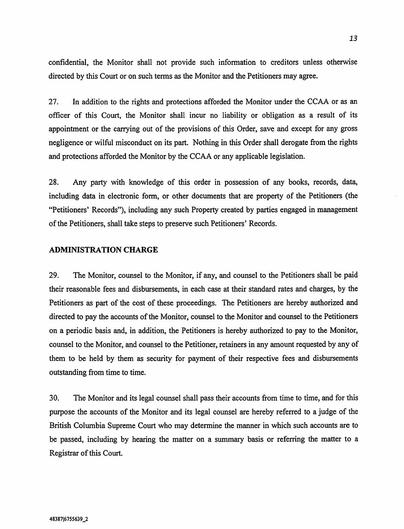confidential, the Monitor shall not provide such information to creditors unless otherwise directed by this Court or on such terms as the Monitor and the Petitioners may agree.

27. In addition to the rights and protections afforded the Monitor under the CCAA or as an officer of this Court, the Monitor shall incur no liability or obligation as a result of its appointment or the carrying out of the provisions of this Order, save and except for any gross negligence or wilful misconduct on its part. Nothing in this Order shall derogate from the rights and protections afforded the Monitor by the CCAA or any applicable legislation.

28. Any party with knowledge of this order in possession of any books, records, data, including data in electronic form, or other documents that are property of the Petitioners (the "Petitioners' Records"), including any such Property created by parties engaged in management of the Petitioners, shall take steps to preserve such Petitioners' Records.

#### ADMINISTRATION CHARGE

29. The Monitor, counsel to the Monitor, if any, and counsel to the Petitioners shall be paid their reasonable fees and disbursements, in each case at their standard rates and charges, by the Petitioners as part of the cost of these proceedings. The Petitioners are hereby authorized and directed to pay the accounts of the Monitor, counsel to the Monitor and counsel to the Petitioners on a periodic basis and, in addition, the Petitioners is hereby authorized to pay to the Monitor, counsel to the Monitor, and counsel to the Petitioner, retainers in any amount requested by any of them to be held by them as security for payment of their respective fees and disbursements outstanding from time to time.

30. The Monitor and its legal counsel shall pass their accounts from time to time, and for this purpose the accounts of the Monitor and its legal counsel are hereby referred to a judge of the British Columbia Supreme Court who may determine the manner in which such accounts are to be passed, including by hearing the matter on a summary basis or referring the matter to a Registrar of this Court.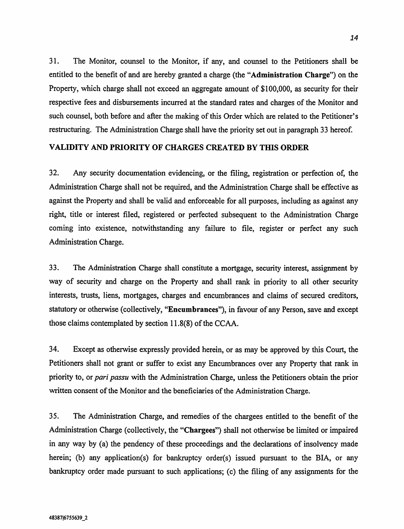31. The Monitor, counsel to the Monitor, if any, and counsel to the Petitioners shall be entitled to the benefit of and are hereby granted a charge (the "Administration Charge") on the Property, which charge shall not exceed an aggregate amount of \$100,000, as security for their respective fees and disbursements incurred at the standard rates and charges of the Monitor and such counsel, both before and after the making of this Order which are related to the Petitioner's restructuring. The Administration Charge shall have the priority set out in paragraph 33 hereof.

# VALIDITY AND PRIORITY OF CHARGES CREATED BY THIS ORDER

32. Any security documentation evidencing, or the filing, registration or perfection of, the Administration Charge shall not be required, and the Administration Charge shall be effective as against the Property and shall be valid and enforceable for all purposes, including as against any right, title or interest filed, registered or perfected subsequent to the Administration Charge coming into existence, notwithstanding any failure to file, register or perfect any such Administration Charge.

33. The Administration Charge shall constitute a mortgage, security interest, assignment by way of security and charge on the Property and shall rank in priority to all other security interests, trusts, liens, mortgages, charges and encumbrances and claims of secured creditors, statutory or otherwise (collectively, "Encumbrances"), in favour of any Person, save and except those claims contemplated by section 11.8(8) of the CCAA.

34. Except as otherwise expressly provided herein, or as may be approved by this Court, the Petitioners shall not grant or suffer to exist any Encumbrances over any Property that rank in priority to, or pari passu with the Administration Charge, unless the Petitioners obtain the prior written consent of the Monitor and the beneficiaries of the Administration Charge.

35. The Administration Charge, and remedies of the chargees entitled to the benefit of the Administration Charge (collectively, the "Chargees") shall not otherwise be limited or impaired in any way by (a) the pendency of these proceedings and the declarations of insolvency made herein; (b) any application(s) for bankruptcy order(s) issued pursuant to the BIA, or any bankruptcy order made pursuant to such applications; (c) the filing of any assignments for the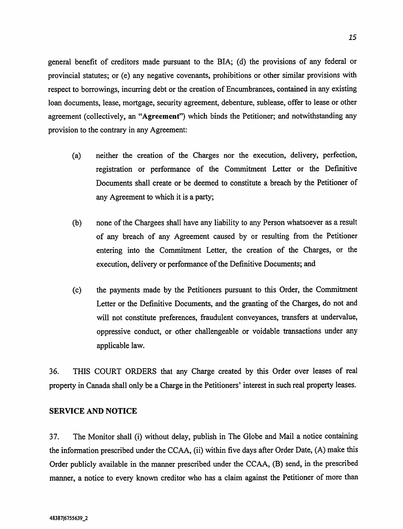general benefit of creditors made pursuant to the BIA; (d) the provisions of any federal or provincial statutes; or (e) any negative covenants, prohibitions or other similar provisions with respect to borrowings, incurring debt or the creation of Encumbrances, contained in any existing loan documents, lease, mortgage, security agreement, debenture, sublease, offer to lease or other agreement (collectively, an "Agreement") which binds the Petitioner; and notwithstanding any provision to the contrary in any Agreement:

- (a) neither the creation of the Charges nor the execution, delivery, perfection, registration or performance of the Commitment Letter or the Definitive Documents shall create or be deemed to constitute a breach by the Petitioner of any Agreement to which it is a party;
- (b) none of the Chargees shall have any liability to any Person whatsoever as a result of any breach of any Agreement caused by or resulting from the Petitioner entering into the Commitment Letter, the creation of the Charges, or the execution, delivery or performance of the Definitive Documents; and
- (c) the payments made by the Petitioners pursuant to this Order, the Commitment Letter or the Definitive Documents, and the granting of the Charges, do not and will not constitute preferences, fraudulent conveyances, transfers at undervalue, oppressive conduct, or other challengeable or voidable transactions under any applicable law.

36. THIS COURT ORDERS that any Charge created by this Order over leases of real property in Canada shall only be a Charge in the Petitioners' interest in such real property leases.

## SERVICE AND NOTICE

37. The Monitor shall (i) without delay, publish in The Globe and Mail a notice containing the information prescribed under the CCAA, (ii) within five days after Order Date, (A) make this Order publicly available in the manner prescribed under the CCAA, (B) send, in the prescribed manner, a notice to every known creditor who has a claim against the Petitioner of more than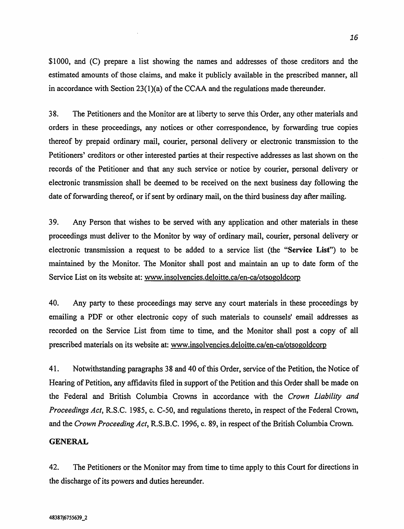\$1000, and (C) prepare a list showing the names and addresses of those creditors and the estimated amounts of those claims, and make it publicly available in the prescribed manner, all in accordance with Section 23(1)(a) of the CCAA and the regulations made thereunder.

38. The Petitioners and the Monitor are at liberty to serve this Order, any other materials and orders in these proceedings, any notices or other correspondence, by forwarding true copies thereof by prepaid ordinary mail, courier, personal delivery or electronic transmission to the Petitioners' creditors or other interested parties at their respective addresses as last shown on the records of the Petitioner and that any such service or notice by courier, personal delivery or electronic transmission shall be deemed to be received on the next business day following the date of forwarding thereof, or if sent by ordinary mail, on the third business day after mailing.

39. Any Person that wishes to be served with any application and other materials in these proceedings must deliver to the Monitor by way of ordinary mail, courier, personal delivery or electronic transmission a request to be added to a service list (the "Service List") to be maintained by the Monitor. The Monitor shall post and maintain an up to date form of the Service List on its website at: www.insolvencies.deloitte.ca/en-ca/otsogoldcorp

40. Any party to these proceedings may serve any court materials in these proceedings by emailing a PDF or other electronic copy of such materials to counsels' email addresses as recorded on the Service List from time to time, and the Monitor shall post a copy of all prescribed materials on its website at: www.insolvencies.deloitte.ca/en-ca/otsogoldcorp

41. Notwithstanding paragraphs 38 and 40 of this Order, service of the Petition, the Notice of Hearing of Petition, any affidavits filed in support of the Petition and this Order shall be made on the Federal and British Columbia Crowns in accordance with the Crown Liability and Proceedings Act, R.S.C. 1985, c. C-50, and regulations thereto, in respect of the Federal Crown, and the Crown Proceeding Act, R.S.B.C. 1996, c. 89, in respect of the British Columbia Crown.

## GENERAL

42. The Petitioners or the Monitor may from time to time apply to this Court for directions in the discharge of its powers and duties hereunder.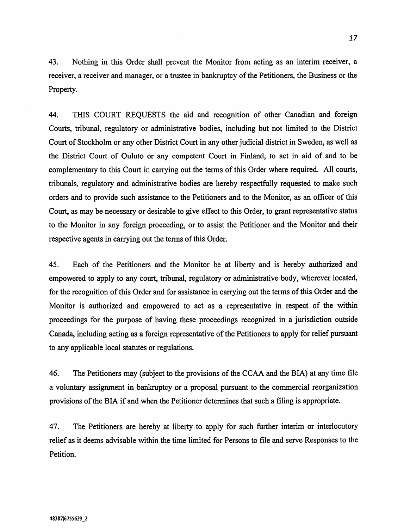43. Nothing in this Order shall prevent the Monitor from acting as an interim receiver, a receiver, a receiver and manager, or a trustee in bankruptcy of the Petitioners, the Business or the Property.

44. THIS COURT REQUESTS the aid and recognition of other Canadian and foreign Courts, tribunal, regulatory or administrative bodies, including but not limited to the District Court of Stockholm or any other District Court in any other judicial district in Sweden, as well as the District Court of Ouluto or any competent Court in Finland, to act in aid of and to be complementary to this Court in carrying out the terms of this Order where required. All courts, tribunals, regulatory and administrative bodies are hereby respectfully requested to make such orders and to provide such assistance to the Petitioners and to the Monitor, as an officer of this Court, as may be necessary or desirable to give effect to this Order, to grant representative status to the Monitor in any foreign proceeding, or to assist the Petitioner and the Monitor and their respective agents in carrying out the terms of this Order.

45. Each of the Petitioners and the Monitor be at liberty and is hereby authorized and empowered to apply to any court, tribunal, regulatory or administrative body, wherever located, for the recognition of this Order and for assistance in carrying out the terms of this Order and the Monitor is authorized and empowered to act as a representative in respect of the within proceedings for the purpose of having these proceedings recognized in a jurisdiction outside Canada, including acting as a foreign representative of the Petitioners to apply for relief pursuant to any applicable local statutes or regulations.

46. The Petitioners may (subject to the provisions of the CCAA and the BIA) at any time file a voluntary assignment in bankruptcy or a proposal pursuant to the commercial reorganization provisions of the BIA if and when the Petitioner determines that such a filing is appropriate.

47. The Petitioners are hereby at liberty to apply for such further interim or interlocutory relief as it deems advisable within the time limited for Persons to file and serve Responses to the Petition.